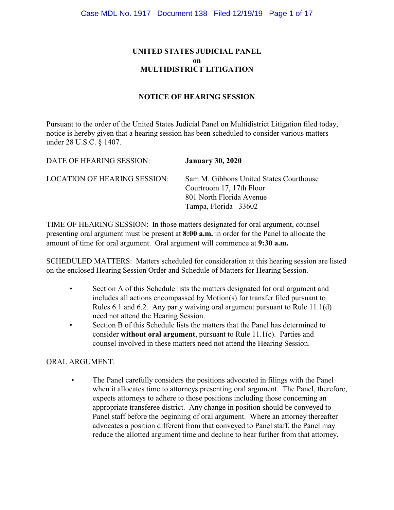# **UNITED STATES JUDICIAL PANEL on MULTIDISTRICT LITIGATION**

#### **NOTICE OF HEARING SESSION**

Pursuant to the order of the United States Judicial Panel on Multidistrict Litigation filed today, notice is hereby given that a hearing session has been scheduled to consider various matters under 28 U.S.C. § 1407.

| DATE OF HEARING SESSION:            | <b>January 30, 2020</b>                                                                                                 |
|-------------------------------------|-------------------------------------------------------------------------------------------------------------------------|
| <b>LOCATION OF HEARING SESSION:</b> | Sam M. Gibbons United States Courthouse<br>Courtroom 17, 17th Floor<br>801 North Florida Avenue<br>Tampa, Florida 33602 |

TIME OF HEARING SESSION: In those matters designated for oral argument, counsel presenting oral argument must be present at **8:00 a.m.** in order for the Panel to allocate the amount of time for oral argument. Oral argument will commence at **9:30 a.m.**

SCHEDULED MATTERS: Matters scheduled for consideration at this hearing session are listed on the enclosed Hearing Session Order and Schedule of Matters for Hearing Session.

- Section A of this Schedule lists the matters designated for oral argument and includes all actions encompassed by Motion(s) for transfer filed pursuant to Rules 6.1 and 6.2. Any party waiving oral argument pursuant to Rule 11.1(d) need not attend the Hearing Session.
- Section B of this Schedule lists the matters that the Panel has determined to consider **without oral argument**, pursuant to Rule 11.1(c). Parties and counsel involved in these matters need not attend the Hearing Session.

#### ORAL ARGUMENT:

 • The Panel carefully considers the positions advocated in filings with the Panel when it allocates time to attorneys presenting oral argument. The Panel, therefore, expects attorneys to adhere to those positions including those concerning an appropriate transferee district. Any change in position should be conveyed to Panel staff before the beginning of oral argument. Where an attorney thereafter advocates a position different from that conveyed to Panel staff, the Panel may reduce the allotted argument time and decline to hear further from that attorney.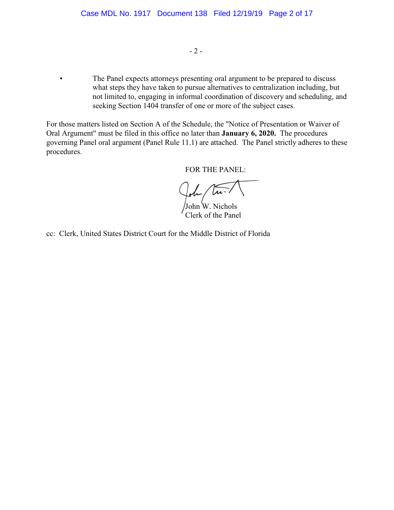$-2-$ 

 • The Panel expects attorneys presenting oral argument to be prepared to discuss what steps they have taken to pursue alternatives to centralization including, but not limited to, engaging in informal coordination of discovery and scheduling, and seeking Section 1404 transfer of one or more of the subject cases.

For those matters listed on Section A of the Schedule, the "Notice of Presentation or Waiver of Oral Argument" must be filed in this office no later than **January 6, 2020.** The procedures governing Panel oral argument (Panel Rule 11.1) are attached. The Panel strictly adheres to these procedures.

FOR THE PANEL:

 $\mu$ .

John W. Nichols Clerk of the Panel

cc: Clerk, United States District Court for the Middle District of Florida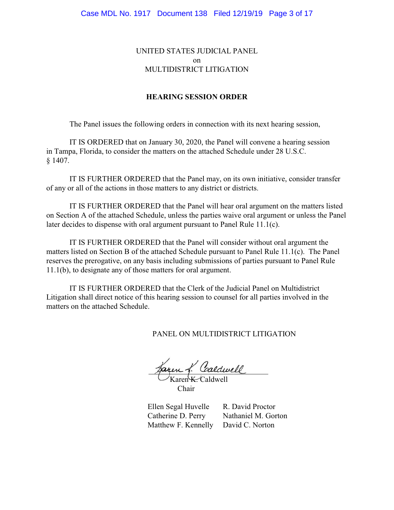### UNITED STATES JUDICIAL PANEL on MULTIDISTRICT LITIGATION

#### **HEARING SESSION ORDER**

The Panel issues the following orders in connection with its next hearing session,

IT IS ORDERED that on January 30, 2020, the Panel will convene a hearing session in Tampa, Florida, to consider the matters on the attached Schedule under 28 U.S.C. § 1407.

IT IS FURTHER ORDERED that the Panel may, on its own initiative, consider transfer of any or all of the actions in those matters to any district or districts.

IT IS FURTHER ORDERED that the Panel will hear oral argument on the matters listed on Section A of the attached Schedule, unless the parties waive oral argument or unless the Panel later decides to dispense with oral argument pursuant to Panel Rule 11.1(c).

IT IS FURTHER ORDERED that the Panel will consider without oral argument the matters listed on Section B of the attached Schedule pursuant to Panel Rule 11.1(c). The Panel reserves the prerogative, on any basis including submissions of parties pursuant to Panel Rule 11.1(b), to designate any of those matters for oral argument.

IT IS FURTHER ORDERED that the Clerk of the Judicial Panel on Multidistrict Litigation shall direct notice of this hearing session to counsel for all parties involved in the matters on the attached Schedule.

PANEL ON MULTIDISTRICT LITIGATION

aren f. Caldwell Karen K. Caldwell

Chair

Ellen Segal Huvelle R. David Proctor Catherine D. Perry Nathaniel M. Gorton Matthew F. Kennelly David C. Norton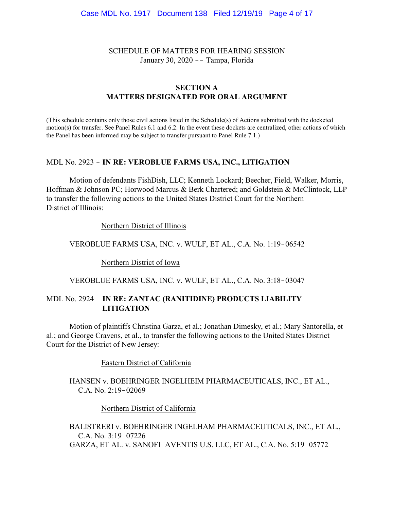SCHEDULE OF MATTERS FOR HEARING SESSION January 30, 2020 -- Tampa, Florida

#### **SECTION A MATTERS DESIGNATED FOR ORAL ARGUMENT**

(This schedule contains only those civil actions listed in the Schedule(s) of Actions submitted with the docketed motion(s) for transfer. See Panel Rules 6.1 and 6.2. In the event these dockets are centralized, other actions of which the Panel has been informed may be subject to transfer pursuant to Panel Rule 7.1.)

#### MDL No. 2923 ! **IN RE: VEROBLUE FARMS USA, INC., LITIGATION**

Motion of defendants FishDish, LLC; Kenneth Lockard; Beecher, Field, Walker, Morris, Hoffman & Johnson PC; Horwood Marcus & Berk Chartered; and Goldstein & McClintock, LLP to transfer the following actions to the United States District Court for the Northern District of Illinois:

Northern District of Illinois

VEROBLUE FARMS USA, INC. v. WULF, ET AL., C.A. No. 1:19-06542

Northern District of Iowa

VEROBLUE FARMS USA, INC. v. WULF, ET AL., C.A. No. 3:18-03047

# MDL No. 2924 ! **IN RE: ZANTAC (RANITIDINE) PRODUCTS LIABILITY LITIGATION**

Motion of plaintiffs Christina Garza, et al.; Jonathan Dimesky, et al.; Mary Santorella, et al.; and George Cravens, et al., to transfer the following actions to the United States District Court for the District of New Jersey:

Eastern District of California

HANSEN v. BOEHRINGER INGELHEIM PHARMACEUTICALS, INC., ET AL., C.A. No.  $2:19-02069$ 

Northern District of California

BALISTRERI v. BOEHRINGER INGELHAM PHARMACEUTICALS, INC., ET AL., C.A. No. 3:19-07226 GARZA, ET AL. v. SANOFI-AVENTIS U.S. LLC, ET AL., C.A. No. 5:19-05772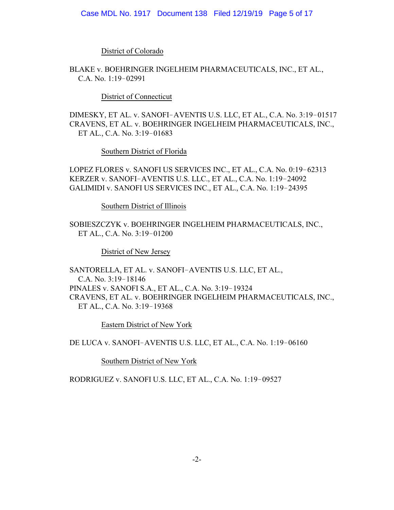District of Colorado

BLAKE v. BOEHRINGER INGELHEIM PHARMACEUTICALS, INC., ET AL., C.A. No.  $1:19-02991$ 

District of Connecticut

DIMESKY, ET AL. v. SANOFI-AVENTIS U.S. LLC, ET AL., C.A. No. 3:19-01517 CRAVENS, ET AL. v. BOEHRINGER INGELHEIM PHARMACEUTICALS, INC., ET AL., C.A. No. 3:19-01683

Southern District of Florida

LOPEZ FLORES v. SANOFI US SERVICES INC., ET AL., C.A. No. 0:19-62313 KERZER v. SANOFI-AVENTIS U.S. LLC., ET AL., C.A. No. 1:19-24092 GALIMIDI v. SANOFI US SERVICES INC., ET AL., C.A. No. 1:19-24395

Southern District of Illinois

SOBIESZCZYK v. BOEHRINGER INGELHEIM PHARMACEUTICALS, INC., ET AL., C.A. No. 3:19-01200

District of New Jersey

SANTORELLA, ET AL. v. SANOFI-AVENTIS U.S. LLC, ET AL., C.A. No.  $3:19-18146$ PINALES v. SANOFI S.A., ET AL., C.A. No. 3:19-19324 CRAVENS, ET AL. v. BOEHRINGER INGELHEIM PHARMACEUTICALS, INC., ET AL., C.A. No. 3:19-19368

Eastern District of New York

DE LUCA v. SANOFI-AVENTIS U.S. LLC, ET AL., C.A. No. 1:19-06160

Southern District of New York

RODRIGUEZ v. SANOFI U.S. LLC, ET AL., C.A. No. 1:19-09527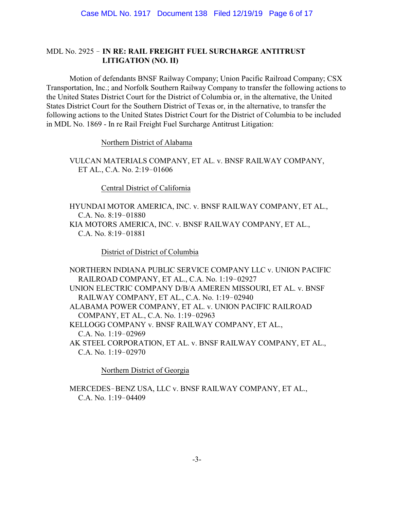# MDL No. 2925 ! **IN RE: RAIL FREIGHT FUEL SURCHARGE ANTITRUST LITIGATION (NO. II)**

Motion of defendants BNSF Railway Company; Union Pacific Railroad Company; CSX Transportation, Inc.; and Norfolk Southern Railway Company to transfer the following actions to the United States District Court for the District of Columbia or, in the alternative, the United States District Court for the Southern District of Texas or, in the alternative, to transfer the following actions to the United States District Court for the District of Columbia to be included in MDL No. 1869 - In re Rail Freight Fuel Surcharge Antitrust Litigation:

Northern District of Alabama

VULCAN MATERIALS COMPANY, ET AL. v. BNSF RAILWAY COMPANY, ET AL., C.A. No. 2:19-01606

Central District of California

HYUNDAI MOTOR AMERICA, INC. v. BNSF RAILWAY COMPANY, ET AL., C.A. No. 8:19-01880 KIA MOTORS AMERICA, INC. v. BNSF RAILWAY COMPANY, ET AL., C.A. No. 8:19-01881

District of District of Columbia

NORTHERN INDIANA PUBLIC SERVICE COMPANY LLC v. UNION PACIFIC RAILROAD COMPANY, ET AL., C.A. No. 1:19-02927 UNION ELECTRIC COMPANY D/B/A AMEREN MISSOURI, ET AL. v. BNSF RAILWAY COMPANY, ET AL., C.A. No. 1:19-02940 ALABAMA POWER COMPANY, ET AL. v. UNION PACIFIC RAILROAD COMPANY, ET AL., C.A. No. 1:19-02963 KELLOGG COMPANY v. BNSF RAILWAY COMPANY, ET AL., C.A. No.  $1:19-02969$ AK STEEL CORPORATION, ET AL. v. BNSF RAILWAY COMPANY, ET AL., C.A. No.  $1:19-02970$ 

Northern District of Georgia

MERCEDES-BENZ USA, LLC v. BNSF RAILWAY COMPANY, ET AL., C.A. No.  $1:19-04409$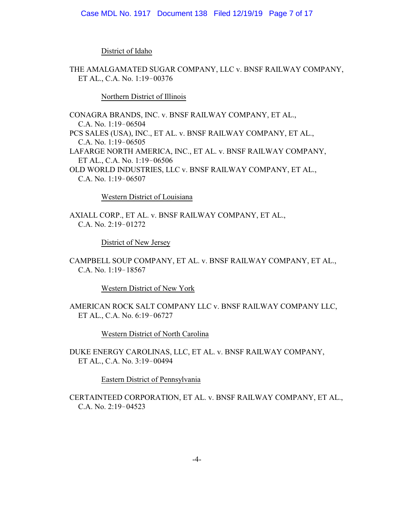District of Idaho

THE AMALGAMATED SUGAR COMPANY, LLC v. BNSF RAILWAY COMPANY, ET AL., C.A. No. 1:19-00376

Northern District of Illinois

CONAGRA BRANDS, INC. v. BNSF RAILWAY COMPANY, ET AL., C.A. No. 1:19-06504 PCS SALES (USA), INC., ET AL. v. BNSF RAILWAY COMPANY, ET AL., C.A. No.  $1:19-06505$ LAFARGE NORTH AMERICA, INC., ET AL. v. BNSF RAILWAY COMPANY, ET AL., C.A. No. 1:19-06506 OLD WORLD INDUSTRIES, LLC v. BNSF RAILWAY COMPANY, ET AL., C.A. No.  $1:19-06507$ 

Western District of Louisiana

AXIALL CORP., ET AL. v. BNSF RAILWAY COMPANY, ET AL., C.A. No.  $2:19-01272$ 

District of New Jersey

CAMPBELL SOUP COMPANY, ET AL. v. BNSF RAILWAY COMPANY, ET AL., C.A. No.  $1:19-18567$ 

Western District of New York

AMERICAN ROCK SALT COMPANY LLC v. BNSF RAILWAY COMPANY LLC, ET AL., C.A. No. 6:19-06727

Western District of North Carolina

DUKE ENERGY CAROLINAS, LLC, ET AL. v. BNSF RAILWAY COMPANY, ET AL., C.A. No. 3:19-00494

Eastern District of Pennsylvania

CERTAINTEED CORPORATION, ET AL. v. BNSF RAILWAY COMPANY, ET AL., C.A. No.  $2:19-04523$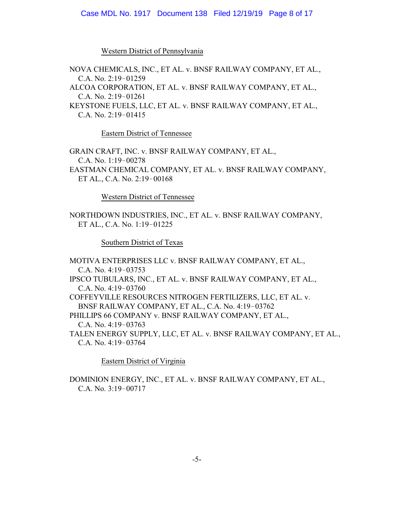#### Case MDL No. 1917 Document 138 Filed 12/19/19 Page 8 of 17

Western District of Pennsylvania

NOVA CHEMICALS, INC., ET AL. v. BNSF RAILWAY COMPANY, ET AL.,  $C.A. No. 2:19-01259$ ALCOA CORPORATION, ET AL. v. BNSF RAILWAY COMPANY, ET AL., C.A. No.  $2:19-01261$ KEYSTONE FUELS, LLC, ET AL. v. BNSF RAILWAY COMPANY, ET AL., C.A. No.  $2:19-01415$ 

Eastern District of Tennessee

GRAIN CRAFT, INC. v. BNSF RAILWAY COMPANY, ET AL., C.A. No.  $1:19-00278$ EASTMAN CHEMICAL COMPANY, ET AL. v. BNSF RAILWAY COMPANY, ET AL., C.A. No. 2:19-00168

Western District of Tennessee

NORTHDOWN INDUSTRIES, INC., ET AL. v. BNSF RAILWAY COMPANY, ET AL., C.A. No. 1:19-01225

Southern District of Texas

MOTIVA ENTERPRISES LLC v. BNSF RAILWAY COMPANY, ET AL., C.A. No.  $4:19-03753$ IPSCO TUBULARS, INC., ET AL. v. BNSF RAILWAY COMPANY, ET AL., C.A. No.  $4:19-03760$ COFFEYVILLE RESOURCES NITROGEN FERTILIZERS, LLC, ET AL. v. BNSF RAILWAY COMPANY, ET AL., C.A. No. 4:19-03762 PHILLIPS 66 COMPANY v. BNSF RAILWAY COMPANY, ET AL., C.A. No.  $4:19-03763$ TALEN ENERGY SUPPLY, LLC, ET AL. v. BNSF RAILWAY COMPANY, ET AL., C.A. No. 4:19-03764

Eastern District of Virginia

DOMINION ENERGY, INC., ET AL. v. BNSF RAILWAY COMPANY, ET AL., C.A. No.  $3:19-00717$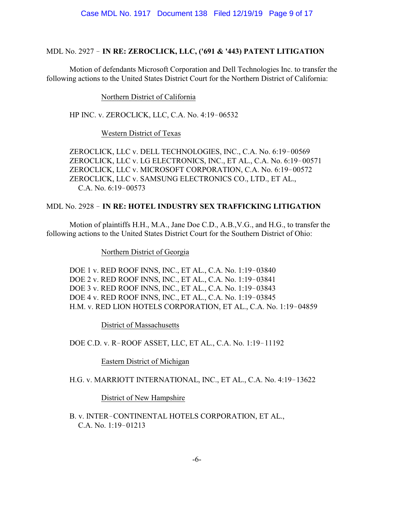## MDL No. 2927 ! **IN RE: ZEROCLICK, LLC, ('691 & '443) PATENT LITIGATION**

Motion of defendants Microsoft Corporation and Dell Technologies Inc. to transfer the following actions to the United States District Court for the Northern District of California:

## Northern District of California

HP INC. v. ZEROCLICK, LLC, C.A. No. 4:19-06532

## Western District of Texas

ZEROCLICK, LLC v. DELL TECHNOLOGIES, INC., C.A. No. 6:19-00569 ZEROCLICK, LLC v. LG ELECTRONICS, INC., ET AL., C.A. No. 6:19-00571 ZEROCLICK, LLC v. MICROSOFT CORPORATION, C.A. No. 6:19-00572 ZEROCLICK, LLC v. SAMSUNG ELECTRONICS CO., LTD., ET AL., C.A. No. 6:19-00573

## MDL No. 2928 ! **IN RE: HOTEL INDUSTRY SEX TRAFFICKING LITIGATION**

Motion of plaintiffs H.H., M.A., Jane Doe C.D., A.B.,V.G., and H.G., to transfer the following actions to the United States District Court for the Southern District of Ohio:

Northern District of Georgia

DOE 1 v. RED ROOF INNS, INC., ET AL., C.A. No. 1:19-03840 DOE 2 v. RED ROOF INNS, INC., ET AL., C.A. No. 1:19-03841 DOE 3 v. RED ROOF INNS, INC., ET AL., C.A. No. 1:19-03843 DOE 4 v. RED ROOF INNS, INC., ET AL., C.A. No. 1:19-03845 H.M. v. RED LION HOTELS CORPORATION, ET AL., C.A. No. 1:19-04859

District of Massachusetts

DOE C.D. v. R-ROOF ASSET, LLC, ET AL., C.A. No. 1:19-11192

Eastern District of Michigan

H.G. v. MARRIOTT INTERNATIONAL, INC., ET AL., C.A. No. 4:19-13622

District of New Hampshire

B. v. INTER-CONTINENTAL HOTELS CORPORATION, ET AL., C.A. No. 1:19-01213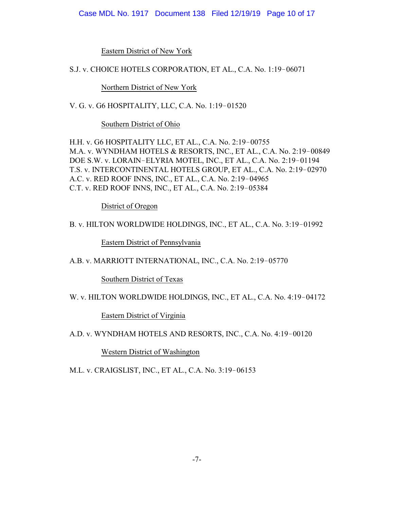#### Case MDL No. 1917 Document 138 Filed 12/19/19 Page 10 of 17

Eastern District of New York

S.J. v. CHOICE HOTELS CORPORATION, ET AL., C.A. No. 1:19-06071

Northern District of New York

V. G. v. G6 HOSPITALITY, LLC, C.A. No. 1:19-01520

Southern District of Ohio

H.H. v. G6 HOSPITALITY LLC, ET AL., C.A. No. 2:19-00755 M.A. v. WYNDHAM HOTELS & RESORTS, INC., ET AL., C.A. No. 2:19-00849 DOE S.W. v. LORAIN-ELYRIA MOTEL, INC., ET AL., C.A. No. 2:19-01194 T.S. v. INTERCONTINENTAL HOTELS GROUP, ET AL., C.A. No. 2:19-02970 A.C. v. RED ROOF INNS, INC., ET AL., C.A. No. 2:19-04965 C.T. v. RED ROOF INNS, INC., ET AL., C.A. No. 2:19-05384

District of Oregon

B. v. HILTON WORLDWIDE HOLDINGS, INC., ET AL., C.A. No. 3:19-01992

Eastern District of Pennsylvania

A.B. v. MARRIOTT INTERNATIONAL, INC., C.A. No. 2:19-05770

Southern District of Texas

W. v. HILTON WORLDWIDE HOLDINGS, INC., ET AL., C.A. No. 4:19-04172

Eastern District of Virginia

A.D. v. WYNDHAM HOTELS AND RESORTS, INC., C.A. No. 4:19-00120

Western District of Washington

M.L. v. CRAIGSLIST, INC., ET AL., C.A. No. 3:19-06153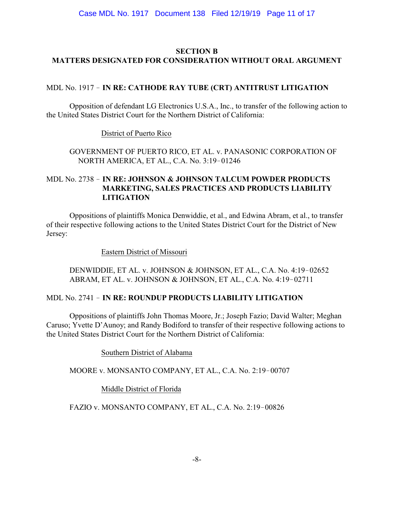# **SECTION B MATTERS DESIGNATED FOR CONSIDERATION WITHOUT ORAL ARGUMENT**

# MDL No. 1917 ! **IN RE: CATHODE RAY TUBE (CRT) ANTITRUST LITIGATION**

Opposition of defendant LG Electronics U.S.A., Inc., to transfer of the following action to the United States District Court for the Northern District of California:

District of Puerto Rico

GOVERNMENT OF PUERTO RICO, ET AL. v. PANASONIC CORPORATION OF NORTH AMERICA, ET AL., C.A. No. 3:19-01246

# MDL No. 2738 ! **IN RE: JOHNSON & JOHNSON TALCUM POWDER PRODUCTS MARKETING, SALES PRACTICES AND PRODUCTS LIABILITY LITIGATION**

Oppositions of plaintiffs Monica Denwiddie, et al., and Edwina Abram, et al., to transfer of their respective following actions to the United States District Court for the District of New Jersey:

Eastern District of Missouri

DENWIDDIE, ET AL. v. JOHNSON & JOHNSON, ET AL., C.A. No. 4:19-02652 ABRAM, ET AL. v. JOHNSON & JOHNSON, ET AL., C.A. No. 4:19-02711

## MDL No. 2741 ! **IN RE: ROUNDUP PRODUCTS LIABILITY LITIGATION**

Oppositions of plaintiffs John Thomas Moore, Jr.; Joseph Fazio; David Walter; Meghan Caruso; Yvette D'Aunoy; and Randy Bodiford to transfer of their respective following actions to the United States District Court for the Northern District of California:

Southern District of Alabama

MOORE v. MONSANTO COMPANY, ET AL., C.A. No. 2:19-00707

Middle District of Florida

FAZIO v. MONSANTO COMPANY, ET AL., C.A. No. 2:19-00826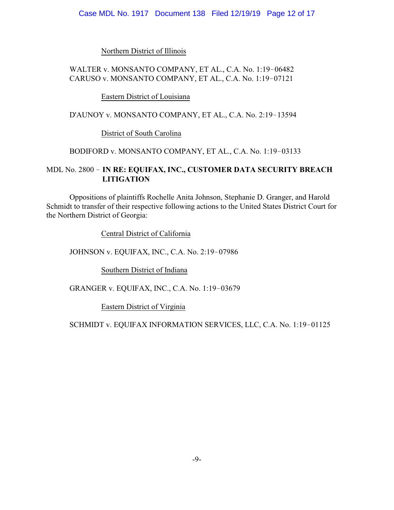Northern District of Illinois

## WALTER v. MONSANTO COMPANY, ET AL., C.A. No. 1:19-06482 CARUSO v. MONSANTO COMPANY, ET AL., C.A. No. 1:19-07121

Eastern District of Louisiana

D'AUNOY v. MONSANTO COMPANY, ET AL., C.A. No. 2:19-13594

District of South Carolina

### BODIFORD v. MONSANTO COMPANY, ET AL., C.A. No. 1:19-03133

# MDL No. 2800 ! **IN RE: EQUIFAX, INC., CUSTOMER DATA SECURITY BREACH LITIGATION**

Oppositions of plaintiffs Rochelle Anita Johnson, Stephanie D. Granger, and Harold Schmidt to transfer of their respective following actions to the United States District Court for the Northern District of Georgia:

Central District of California

JOHNSON v. EQUIFAX, INC., C.A. No. 2:19-07986

Southern District of Indiana

GRANGER v. EQUIFAX, INC., C.A. No. 1:19-03679

Eastern District of Virginia

SCHMIDT v. EQUIFAX INFORMATION SERVICES, LLC, C.A. No. 1:19-01125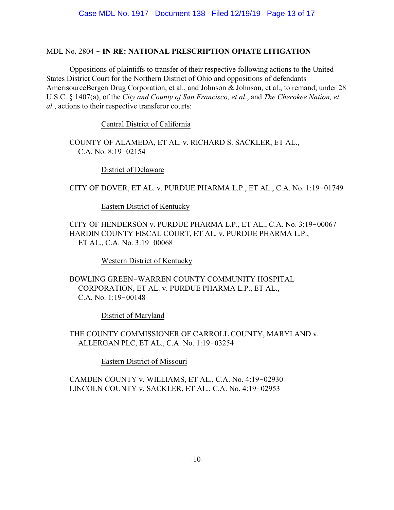## MDL No. 2804 ! **IN RE: NATIONAL PRESCRIPTION OPIATE LITIGATION**

Oppositions of plaintiffs to transfer of their respective following actions to the United States District Court for the Northern District of Ohio and oppositions of defendants AmerisourceBergen Drug Corporation, et al., and Johnson & Johnson, et al., to remand, under 28 U.S.C. § 1407(a), of the *City and County of San Francisco, et al.*, and *The Cherokee Nation, et al.*, actions to their respective transferor courts:

Central District of California

COUNTY OF ALAMEDA, ET AL. v. RICHARD S. SACKLER, ET AL., C.A. No.  $8:19-02154$ 

District of Delaware

CITY OF DOVER, ET AL. v. PURDUE PHARMA L.P., ET AL., C.A. No. 1:19-01749

Eastern District of Kentucky

CITY OF HENDERSON v. PURDUE PHARMA L.P., ET AL., C.A. No. 3:19-00067 HARDIN COUNTY FISCAL COURT, ET AL. v. PURDUE PHARMA L.P., ET AL., C.A. No. 3:19-00068

Western District of Kentucky

BOWLING GREEN-WARREN COUNTY COMMUNITY HOSPITAL CORPORATION, ET AL. v. PURDUE PHARMA L.P., ET AL., C.A. No.  $1:19-00148$ 

District of Maryland

THE COUNTY COMMISSIONER OF CARROLL COUNTY, MARYLAND v. ALLERGAN PLC, ET AL., C.A. No. 1:19-03254

Eastern District of Missouri

CAMDEN COUNTY v. WILLIAMS, ET AL., C.A. No. 4:19-02930 LINCOLN COUNTY v. SACKLER, ET AL., C.A. No. 4:19-02953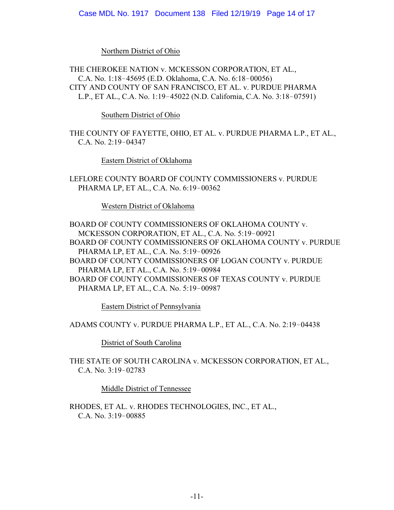Northern District of Ohio

THE CHEROKEE NATION v. MCKESSON CORPORATION, ET AL., C.A. No. 1:18-45695 (E.D. Oklahoma, C.A. No. 6:18-00056) CITY AND COUNTY OF SAN FRANCISCO, ET AL. v. PURDUE PHARMA L.P., ET AL., C.A. No. 1:19-45022 (N.D. California, C.A. No. 3:18-07591)

Southern District of Ohio

THE COUNTY OF FAYETTE, OHIO, ET AL. v. PURDUE PHARMA L.P., ET AL., C.A. No.  $2:19-04347$ 

Eastern District of Oklahoma

LEFLORE COUNTY BOARD OF COUNTY COMMISSIONERS v. PURDUE PHARMA LP, ET AL., C.A. No. 6:19-00362

Western District of Oklahoma

BOARD OF COUNTY COMMISSIONERS OF OKLAHOMA COUNTY v. MCKESSON CORPORATION, ET AL., C.A. No. 5:19-00921 BOARD OF COUNTY COMMISSIONERS OF OKLAHOMA COUNTY v. PURDUE PHARMA LP, ET AL., C.A. No. 5:19-00926 BOARD OF COUNTY COMMISSIONERS OF LOGAN COUNTY v. PURDUE PHARMA LP, ET AL., C.A. No. 5:19-00984 BOARD OF COUNTY COMMISSIONERS OF TEXAS COUNTY v. PURDUE PHARMA LP, ET AL., C.A. No. 5:19-00987

Eastern District of Pennsylvania

ADAMS COUNTY v. PURDUE PHARMA L.P., ET AL., C.A. No. 2:19-04438

District of South Carolina

THE STATE OF SOUTH CAROLINA v. MCKESSON CORPORATION, ET AL., C.A. No.  $3:19-02783$ 

Middle District of Tennessee

RHODES, ET AL. v. RHODES TECHNOLOGIES, INC., ET AL., C.A. No.  $3:19-00885$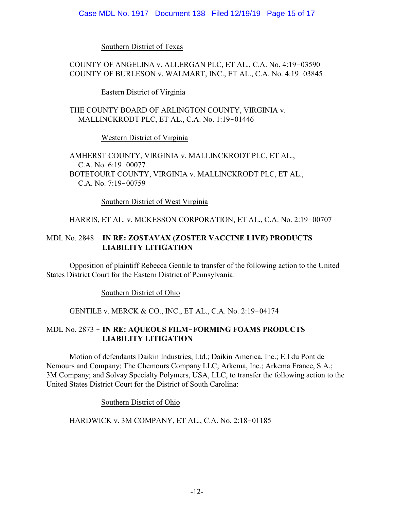Southern District of Texas

# COUNTY OF ANGELINA v. ALLERGAN PLC, ET AL., C.A. No. 4:19-03590 COUNTY OF BURLESON v. WALMART, INC., ET AL., C.A. No. 4:19-03845

Eastern District of Virginia

THE COUNTY BOARD OF ARLINGTON COUNTY, VIRGINIA v. MALLINCKRODT PLC, ET AL., C.A. No. 1:19-01446

Western District of Virginia

AMHERST COUNTY, VIRGINIA v. MALLINCKRODT PLC, ET AL., C.A. No. 6:19-00077 BOTETOURT COUNTY, VIRGINIA v. MALLINCKRODT PLC, ET AL., C.A. No. 7:19-00759

Southern District of West Virginia

# HARRIS, ET AL. v. MCKESSON CORPORATION, ET AL., C.A. No. 2:19-00707

# MDL No. 2848 ! **IN RE: ZOSTAVAX (ZOSTER VACCINE LIVE) PRODUCTS LIABILITY LITIGATION**

Opposition of plaintiff Rebecca Gentile to transfer of the following action to the United States District Court for the Eastern District of Pennsylvania:

Southern District of Ohio

## GENTILE v. MERCK & CO., INC., ET AL., C.A. No. 2:19-04174

# MDL No. 2873 ! **IN RE: AQUEOUS FILM**!**FORMING FOAMS PRODUCTS LIABILITY LITIGATION**

Motion of defendants Daikin Industries, Ltd.; Daikin America, Inc.; E.I du Pont de Nemours and Company; The Chemours Company LLC; Arkema, Inc.; Arkema France, S.A.; 3M Company; and Solvay Specialty Polymers, USA, LLC, to transfer the following action to the United States District Court for the District of South Carolina:

Southern District of Ohio

## HARDWICK v. 3M COMPANY, ET AL., C.A. No. 2:18-01185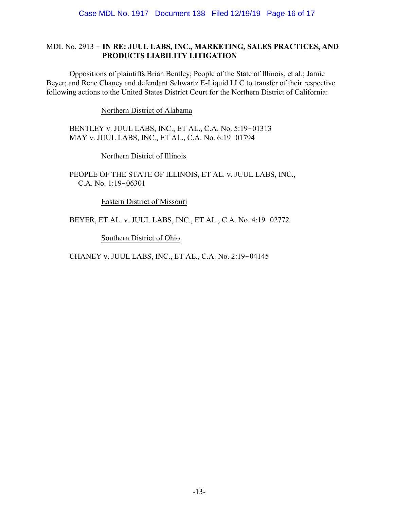### MDL No. 2913 ! **IN RE: JUUL LABS, INC., MARKETING, SALES PRACTICES, AND PRODUCTS LIABILITY LITIGATION**

Oppositions of plaintiffs Brian Bentley; People of the State of Illinois, et al.; Jamie Beyer; and Rene Chaney and defendant Schwartz E-Liquid LLC to transfer of their respective following actions to the United States District Court for the Northern District of California:

Northern District of Alabama

BENTLEY v. JUUL LABS, INC., ET AL., C.A. No. 5:19-01313 MAY v. JUUL LABS, INC., ET AL., C.A. No. 6:19-01794

Northern District of Illinois

PEOPLE OF THE STATE OF ILLINOIS, ET AL. v. JUUL LABS, INC., C.A. No.  $1:19-06301$ 

Eastern District of Missouri

BEYER, ET AL. v. JUUL LABS, INC., ET AL., C.A. No. 4:19-02772

Southern District of Ohio

CHANEY v. JUUL LABS, INC., ET AL., C.A. No. 2:19-04145